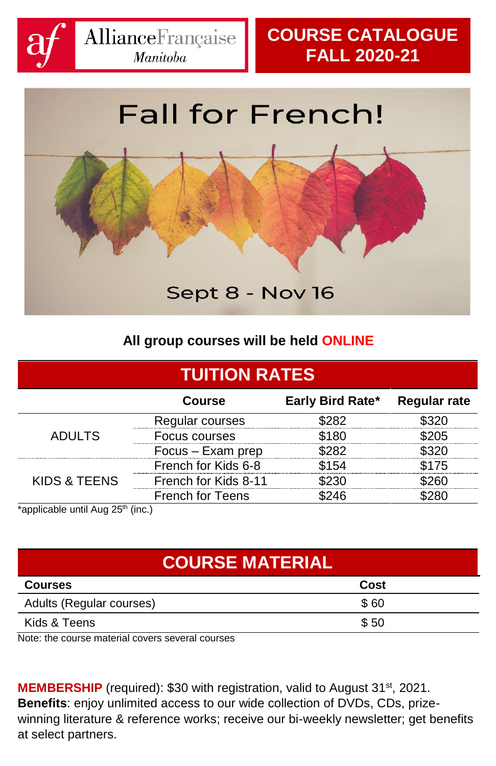

# **Fall for French!**



#### **All group courses will be held ONLINE**

| <b>TUITION RATES</b>                          |                         |                  |                        |
|-----------------------------------------------|-------------------------|------------------|------------------------|
|                                               | Course                  | Early Bird Rate* | <b>Regular rate</b>    |
|                                               | Regular courses         | \$282            | \$320                  |
| <b>ADULTS</b>                                 | Focus courses           | \$180            | S205                   |
|                                               | Focus – Exam prep       | \$282            | $^{\text{\tiny T320}}$ |
|                                               | French for Kids 6-8     | \$154            | \$175                  |
| KIDS & TEENS                                  | French for Kids 8-11    | \$230            | יואר <sup>.</sup>      |
|                                               | <b>French for Teens</b> | \$246            | 280                    |
| *applicable until Aug 25 <sup>th</sup> (inc.) |                         |                  |                        |

| $apprigator$ and $rgE$ | 1.1.0.7 |  |
|------------------------|---------|--|
|                        |         |  |
|                        |         |  |

| <b>COURSE MATERIAL</b>   |      |  |  |
|--------------------------|------|--|--|
| <b>Courses</b>           | Cost |  |  |
| Adults (Regular courses) | \$60 |  |  |
| Kids & Teens             | \$50 |  |  |

Note: the course material covers several courses

**MEMBERSHIP** (required): \$30 with registration, valid to August 31<sup>st</sup>, 2021. **Benefits**: enjoy unlimited access to our wide collection of DVDs, CDs, prizewinning literature & reference works; receive our bi-weekly newsletter; get benefits at select partners.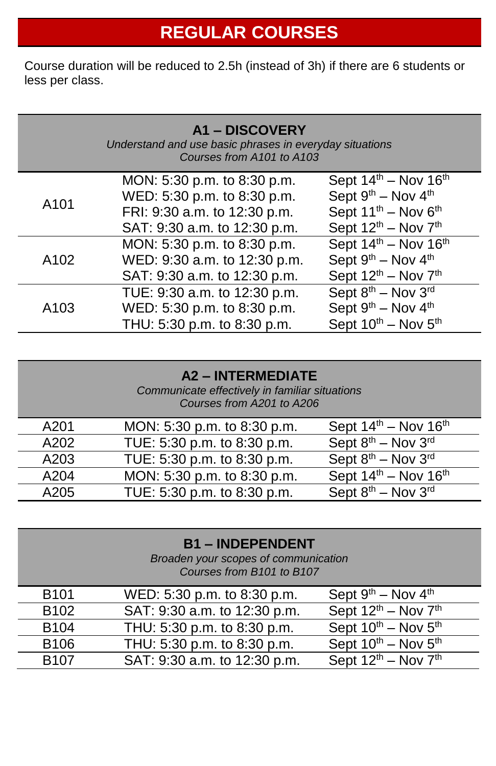# **REGULAR COURSES**

Course duration will be reduced to 2.5h (instead of 3h) if there are 6 students or less per class.

|                  | <b>A1-DISCOVERY</b><br>Understand and use basic phrases in everyday situations<br>Courses from A101 to A103 |                                              |
|------------------|-------------------------------------------------------------------------------------------------------------|----------------------------------------------|
|                  | MON: 5:30 p.m. to 8:30 p.m.                                                                                 | Sept $14^{\text{th}}$ – Nov $16^{\text{th}}$ |
| A <sub>101</sub> | WED: 5:30 p.m. to 8:30 p.m.                                                                                 | Sept $9th$ – Nov $4th$                       |
|                  | FRI: 9:30 a.m. to 12:30 p.m.                                                                                | Sept 11 <sup>th</sup> - Nov 6 <sup>th</sup>  |
|                  | SAT: 9:30 a.m. to 12:30 p.m.                                                                                | Sept $12^{th}$ – Nov $7^{th}$                |
|                  | MON: 5:30 p.m. to 8:30 p.m.                                                                                 | Sept $14th$ – Nov $16th$                     |
| A <sub>102</sub> | WED: 9:30 a.m. to 12:30 p.m.                                                                                | Sept $9^{th}$ – Nov $4^{th}$                 |
|                  | SAT: 9:30 a.m. to 12:30 p.m.                                                                                | Sept 12 <sup>th</sup> - Nov 7 <sup>th</sup>  |
|                  | TUE: 9:30 a.m. to 12:30 p.m.                                                                                | Sept $8^{th}$ – Nov $3^{rd}$                 |
| A <sub>103</sub> | WED: 5:30 p.m. to 8:30 p.m.                                                                                 | Sept 9 <sup>th</sup> - Nov 4 <sup>th</sup>   |
|                  | THU: 5:30 p.m. to 8:30 p.m.                                                                                 | Sept $10^{th}$ – Nov $5^{th}$                |

| <b>A2 - INTERMEDIATE</b><br>Communicate effectively in familiar situations<br>Courses from A201 to A206 |                             |                                            |
|---------------------------------------------------------------------------------------------------------|-----------------------------|--------------------------------------------|
| A201                                                                                                    | MON: 5:30 p.m. to 8:30 p.m. | Sept $14th$ – Nov $16th$                   |
| A202                                                                                                    | TUE: 5:30 p.m. to 8:30 p.m. | Sept 8 <sup>th</sup> - Nov 3 <sup>rd</sup> |
| A203                                                                                                    | TUE: 5:30 p.m. to 8:30 p.m. | Sept 8th - Nov 3rd                         |
| A204                                                                                                    | MON: 5:30 p.m. to 8:30 p.m. | Sept $14^{th}$ – Nov $16^{th}$             |
| A205                                                                                                    | TUE: 5:30 p.m. to 8:30 p.m. | Sept 8 <sup>th</sup> - Nov 3 <sup>rd</sup> |

| <b>B1-INDEPENDENT</b><br>Broaden your scopes of communication<br>Courses from B101 to B107 |                              |                                          |
|--------------------------------------------------------------------------------------------|------------------------------|------------------------------------------|
| B <sub>101</sub>                                                                           | WED: 5:30 p.m. to 8:30 p.m.  | Sept $9^{th}$ – Nov $4^{th}$             |
| B <sub>102</sub>                                                                           | SAT: 9:30 a.m. to 12:30 p.m. | Sept $12^{th}$ – Nov $\overline{7^{th}}$ |
| B <sub>104</sub>                                                                           | THU: 5:30 p.m. to 8:30 p.m.  | Sept $10^{th}$ – Nov $5^{th}$            |
| B106                                                                                       | THU: 5:30 p.m. to 8:30 p.m.  | Sept $10^{th}$ – Nov $5^{th}$            |
| <b>B107</b>                                                                                | SAT: 9:30 a.m. to 12:30 p.m. | Sept $12^{th}$ – Nov $7^{th}$            |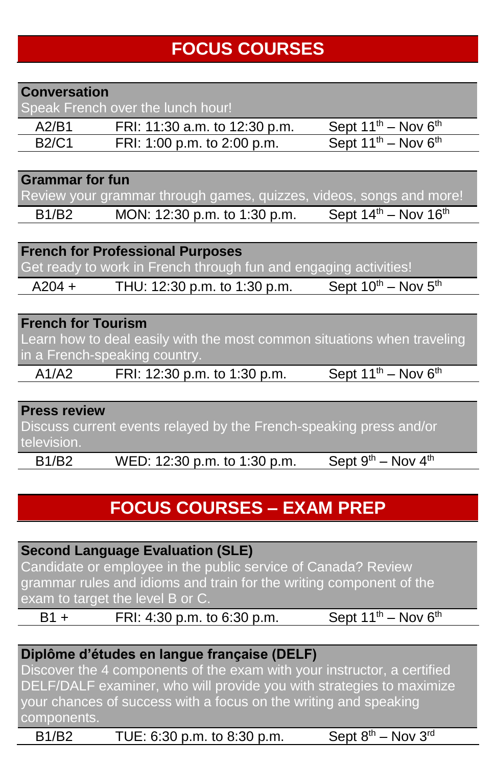# **FOCUS COURSES**

#### **Conversation**

Speak French over the lunch hour!

| A2/B1 | FRI: 11:30 a.m. to 12:30 p.m. | Sept $11^{th}$ – Nov $6^{th}$        |
|-------|-------------------------------|--------------------------------------|
| B2/C1 | FRI: 1:00 p.m. to 2:00 p.m.   | Sept $11^{th}$ – Nov 6 <sup>th</sup> |

#### **Grammar for fun**

Review your grammar through games, quizzes, videos, songs and more!

B1/B2 MON: 12:30 p.m. to 1:30 p.m. Sept  $14^{th}$  – Nov  $16^{th}$ 

**French for Professional Purposes**

Get ready to work in French through fun and engaging activities!

 $A204 +$  THU: 12:30 p.m. to 1:30 p.m. Sept 10<sup>th</sup> – Nov 5<sup>th</sup>

#### **French for Tourism**

Learn how to deal easily with the most common situations when traveling in a French-speaking country.

A1/A2 FRI: 12:30 p.m. to 1:30 p.m. Sept  $11^{th}$  – Nov  $6^{th}$ 

#### **Press review**

Discuss current events relayed by the French-speaking press and/or television.

B1/B2 WED: 12:30 p.m. to 1:30 p.m. Sept  $9^{th}$  – Nov  $4^{th}$ 

### **FOCUS COURSES – EXAM PREP**

**Second Language Evaluation (SLE)** Candidate or employee in the public service of Canada? Review grammar rules and idioms and train for the writing component of the exam to target the level B or C. B1 + FRI:  $\frac{4:30 \text{ p.m.}}{10.6 \times 30 \text{ p.m.}}$  Sept  $11^{\text{th}} - \text{Nov } 6^{\text{th}}$ 

#### **Diplôme d'études en langue française (DELF)**

Discover the 4 components of the exam with your instructor, a certified DELF/DALF examiner, who will provide you with strategies to maximize your chances of success with a focus on the writing and speaking components.

B1/B2 TUE: 6:30 p.m. to 8:30 p.m. Sept  $8<sup>th</sup>$  – Nov  $3<sup>rd</sup>$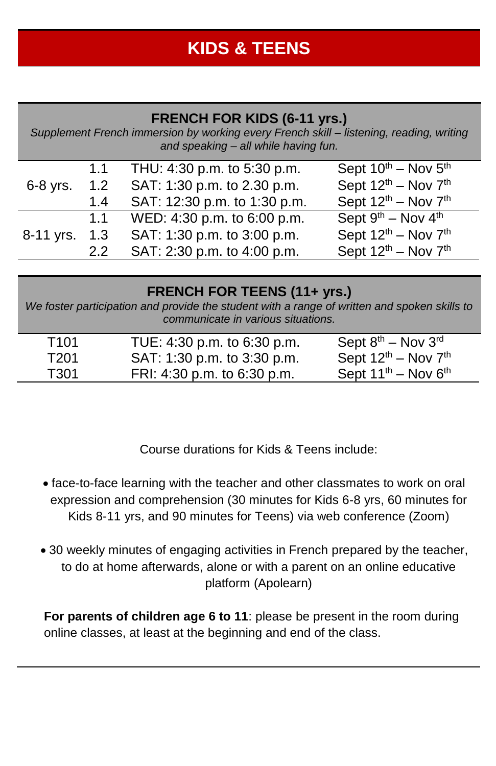### **KIDS & TEENS**

#### **FRENCH FOR KIDS (6-11 yrs.)**

*Supplement French immersion by working every French skill – listening, reading, writing and speaking – all while having fun.*

|            | 1.1 | THU: 4:30 p.m. to 5:30 p.m.  | Sept $10^{th}$ – Nov $5^{th}$ |
|------------|-----|------------------------------|-------------------------------|
| $6-8$ yrs. | 1.2 | SAT: 1:30 p.m. to 2.30 p.m.  | Sept $12^{th}$ – Nov $7^{th}$ |
|            | 1.4 | SAT: 12:30 p.m. to 1:30 p.m. | Sept $12^{th}$ – Nov $7^{th}$ |
|            | 1.1 | WED: 4:30 p.m. to 6:00 p.m.  | Sept $9^{th}$ – Nov $4^{th}$  |
| 8-11 yrs.  | 1.3 | SAT: 1:30 p.m. to 3:00 p.m.  | Sept $12^{th}$ – Nov $7^{th}$ |
|            | 2.2 | SAT: 2:30 p.m. to 4:00 p.m.  | Sept $12^{th}$ – Nov $7^{th}$ |

#### **FRENCH FOR TEENS (11+ yrs.)**

*We foster participation and provide the student with a range of written and spoken skills to communicate in various situations.*

| T <sub>101</sub> | TUE: 4:30 p.m. to 6:30 p.m. | Sept $8^{\text{th}}$ – Nov $3^{\text{rd}}$  |
|------------------|-----------------------------|---------------------------------------------|
| T201             | SAT: 1:30 p.m. to 3:30 p.m. | Sept $12^{\text{th}}$ – Nov $7^{\text{th}}$ |
| T301             | FRI: 4:30 p.m. to 6:30 p.m. | Sept $11^{th}$ – Nov $6^{th}$               |

Course durations for Kids & Teens include:

- face-to-face learning with the teacher and other classmates to work on oral expression and comprehension (30 minutes for Kids 6-8 yrs, 60 minutes for Kids 8-11 yrs, and 90 minutes for Teens) via web conference (Zoom)
- 30 weekly minutes of engaging activities in French prepared by the teacher, to do at home afterwards, alone or with a parent on an online educative platform (Apolearn)

**For parents of children age 6 to 11**: please be present in the room during online classes, at least at the beginning and end of the class.